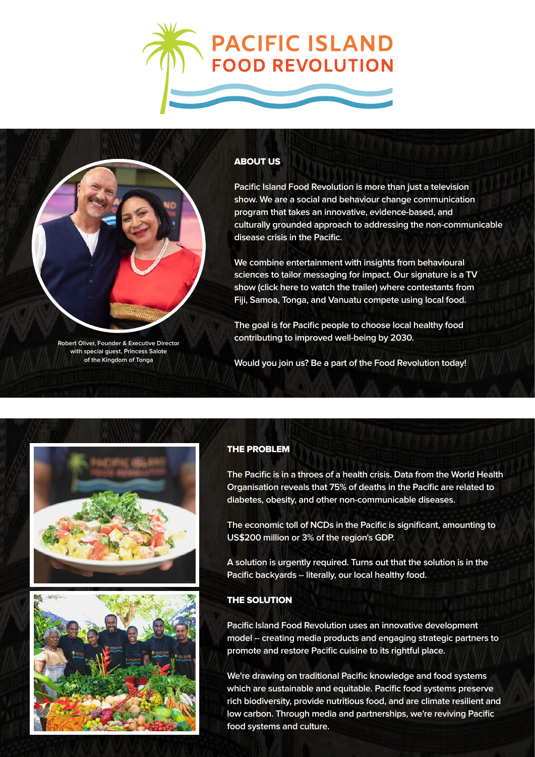



**Robert Oliver, Founder & Executive Director with special guest, Princess Salote of the Kingdom of Tonga**

## ABOUT US

**Pacific Island Food Revolution is more than just a television show. We are a social and behaviour change communication program that takes an innovative, evidence-based, and culturally grounded approach to addressing the non-communicable disease crisis in the Pacific.**

**We combine entertainment with insights from behavioural sciences to tailor messaging for impact. Our signature is a TV show [\(click here to watch the trailer\)](https://www.youtube.com/watch?v=VzcY7edRXCk) where contestants from Fiji, Samoa, Tonga, and Vanuatu compete using local food.**

**The goal is for Pacific people to choose local healthy food contributing to improved well-being by 2030.**

**Would you join us? Be a part of the Food Revolution today!**





## THE PROBLEM

**The Pacific is in a throes of a health crisis. Data from the World Health Organisation reveals that 75% of deaths in the Pacific are related to diabetes, obesity, and other non-communicable diseases.**

**The economic toll of NCDs in the Pacific is significant, amounting to US\$200 million or 3% of the region's GDP.**

**A solution is urgently required. Turns out that the solution is in the Pacific backyards -- literally, our local healthy food.**

## THE SOLUTION

**Pacific Island Food Revolution uses an innovative development model -- creating media products and engaging strategic partners to promote and restore Pacific cuisine to its rightful place.**

**We're drawing on traditional Pacific knowledge and food systems which are sustainable and equitable. Pacific food systems preserve rich biodiversity, provide nutritious food, and are climate resilient and low carbon. Through media and partnerships, we're reviving Pacific food systems and culture.**